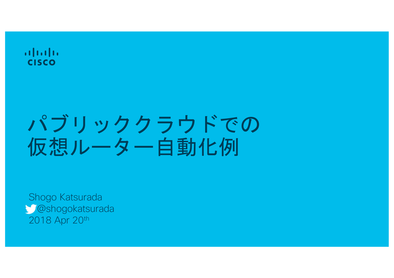$\mathbf{d}$  and  $\mathbf{d}$ **CISCO** 

## パブリッククラウドでの 仮想ルーター自動化例

Shogo Katsurada @shogokatsurada 2018 Apr 20th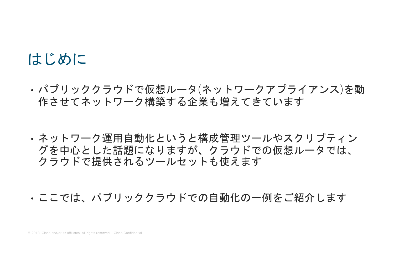#### はじめに

- •パブリッククラウドで仮想ルータ(ネットワークアプライアンス)を動 作させてネットワーク構築する企業も増えてきています
- ・ネットワーク運用自動化というと構成管理ツールやスクリプティン グを中心とした話題になりますが、クラウドでの仮想ルータでは、 クラウドで提供されるツールセットも使えます
- ・ここでは、パブリッククラウドでの自動化の一例をご紹介します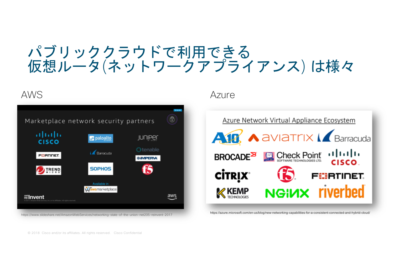#### パブリッククラウドで利用できる 仮想ルータ(ネットワークアプライアンス) は様々



AWS Azure

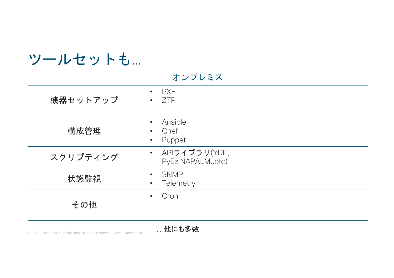| ツールセットも… |                                                                  |
|----------|------------------------------------------------------------------|
|          | オンプレミス                                                           |
| 機器セットアップ | <b>PXE</b><br>$\bullet$<br><b>ZTP</b><br>$\bullet$               |
| 構成管理     | Ansible<br>$\bullet$<br>Chef<br>$\bullet$<br>Puppet<br>$\bullet$ |
| スクリプティング | • APIライブラリ(YDK,<br>PyEz, NAPALMetc)                              |
| 状態監視     | SNMP<br>$\bullet$<br>Telemetry<br>$\bullet$                      |
| その他      | Cron<br>$\bullet$                                                |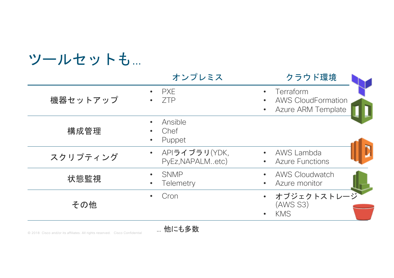| ツールセットも… |                                                           |                                                                     |
|----------|-----------------------------------------------------------|---------------------------------------------------------------------|
|          | オンプレミス                                                    | クラウド環境                                                              |
| 機器セットアップ | <b>PXE</b><br>$\bullet$<br><b>ZTP</b>                     | Terraform<br><b>AWS CloudFormation</b><br><b>Azure ARM Template</b> |
| 構成管理     | Ansible<br>$\bullet$<br>Chef<br>Puppet<br>$\bullet$       |                                                                     |
| スクリプティング | APIライブラリ(YDK,<br>$\bullet$<br>PyEz, NAPALMetc)            | AWS Lambda<br>$\bullet$<br><b>Azure Functions</b>                   |
| 状態監視     | <b>SNMP</b><br>$\bullet$<br><b>Telemetry</b><br>$\bullet$ | <b>AWS Cloudwatch</b><br>Azure monitor                              |
| その他      | Cron<br>$\bullet$                                         | オブジェクトストレージ<br>(ANS S3)<br><b>KMS</b>                               |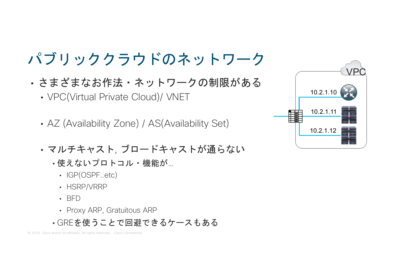### パブリッククラウドのネットワーク

- さまざまなお作法·ネットワークの制限がある
	- VPC(Virtual Private Cloud)/ VNET
	- AZ (Availability Zone) / AS(Availability Set)
	- マルチキャスト, ブロードキャストが通らない
		- •使えないプロトコル・機能が...
			- IGP(OSPF..etc)
			- HSRP/VRRP
			- $\cdot$  BFD
			- Proxy ARP, Gratuitous ARP
		- · GREを使うことで回避できるケースもある

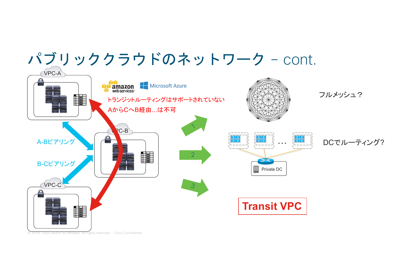

<sup>2018</sup> Cisco and/or its affiliates. All rights reserved. Cisco Confidential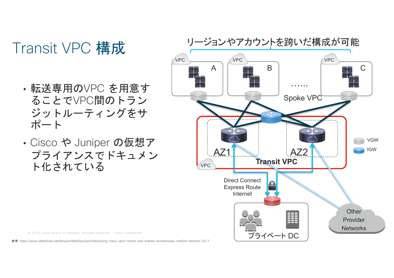### Transit VPC 構成

- •転送専用のVPC を用意す ることでVPC間のトラン ジットルーティングをサ ポート
- Cisco や Juniper の仮想ア プライアンスでドキュメン ト化されている



© 2018 Cisco and/or its affiliates. All rights reserved. Cisco Confidential

: https://www.slideshare.net/AmazonWebServices/networking-many-vpcs-transit-and-shared-architectures-net404-reinvent-2017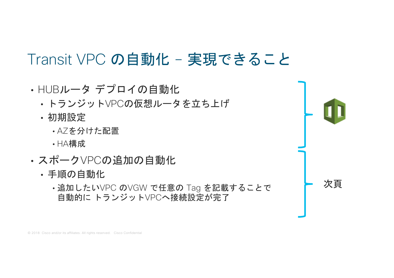#### Transit VPC の自動化 - 実現できること

· HUBルータ デプロイの自動化 · トランジットVPCの仮想ルータを立ち上げ · 初期設定 ·AZを分けた配置 · HA構成 • スポークVPCの追加の自動化 ・手順の自動化 次頁 •追加したいVPC のVGW で任意の Tag を記載することで 自動的に トランジットVPCへ接続設定が完了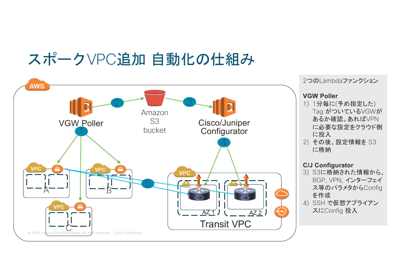#### スポークVPC追加 自動化の仕組み

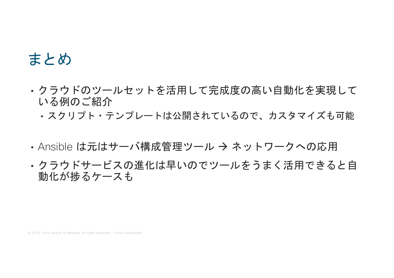#### まとめ

- ・クラウドのツールセットを活用して完成度の高い自動化を実現して いる例のご紹介
	- · スクリプト·テンプレートは公開されているので、カスタマイズも可能
- Ansible は元はサーバ構成管理ツール → ネットワークへの応用
- ・クラウドサービスの進化は早いのでツールをうまく活用できると自 動化が捗るケースも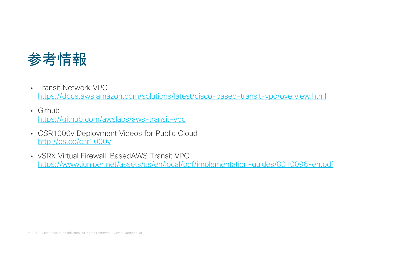

- Transit Network VPC https://docs.aws.amazon.com/solutions/latest/cisco-based-transit-vpc/overview.html
- Github https://github.com/awslabs/aws-transit-vpc
- CSR1000v Deployment Videos for Public Cloud http://cs.co/csr1000v
- vSRX Virtual Firewall-BasedAWS Transit VPC https://www.juniper.net/assets/us/en/local/pdf/implementation-guides/8010096-en.pdf